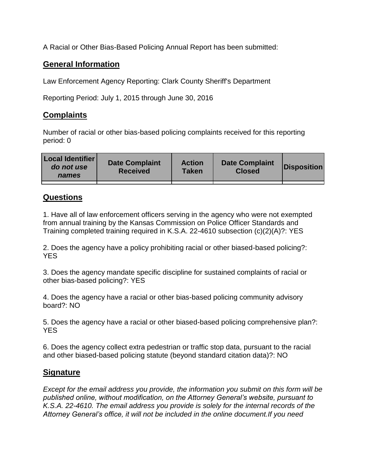A Racial or Other Bias-Based Policing Annual Report has been submitted:

## **General Information**

Law Enforcement Agency Reporting: Clark County Sheriff's Department

Reporting Period: July 1, 2015 through June 30, 2016

## **Complaints**

Number of racial or other bias-based policing complaints received for this reporting period: 0

| <b>Local Identifier</b><br>do not use<br>names | <b>Date Complaint</b><br><b>Received</b> | <b>Action</b><br><b>Taken</b> | <b>Date Complaint</b><br><b>Closed</b> | Disposition |
|------------------------------------------------|------------------------------------------|-------------------------------|----------------------------------------|-------------|
|                                                |                                          |                               |                                        |             |

## **Questions**

1. Have all of law enforcement officers serving in the agency who were not exempted from annual training by the Kansas Commission on Police Officer Standards and Training completed training required in K.S.A. 22-4610 subsection (c)(2)(A)?: YES

2. Does the agency have a policy prohibiting racial or other biased-based policing?: YES

3. Does the agency mandate specific discipline for sustained complaints of racial or other bias-based policing?: YES

4. Does the agency have a racial or other bias-based policing community advisory board?: NO

5. Does the agency have a racial or other biased-based policing comprehensive plan?: YES

6. Does the agency collect extra pedestrian or traffic stop data, pursuant to the racial and other biased-based policing statute (beyond standard citation data)?: NO

## **Signature**

*Except for the email address you provide, the information you submit on this form will be published online, without modification, on the Attorney General's website, pursuant to K.S.A. 22-4610. The email address you provide is solely for the internal records of the Attorney General's office, it will not be included in the online document.If you need*